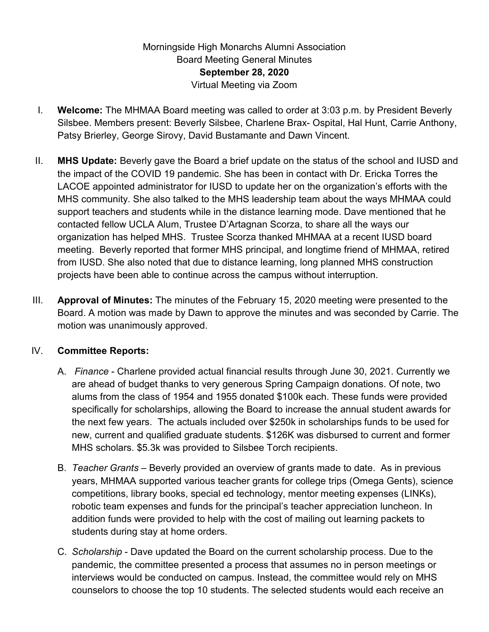## Morningside High Monarchs Alumni Association Board Meeting General Minutes **September 28, 2020** Virtual Meeting via Zoom

- I. **Welcome:** The MHMAA Board meeting was called to order at 3:03 p.m. by President Beverly Silsbee. Members present: Beverly Silsbee, Charlene Brax- Ospital, Hal Hunt, Carrie Anthony, Patsy Brierley, George Sirovy, David Bustamante and Dawn Vincent.
- II. **MHS Update:** Beverly gave the Board a brief update on the status of the school and IUSD and the impact of the COVID 19 pandemic. She has been in contact with Dr. Ericka Torres the LACOE appointed administrator for IUSD to update her on the organization's efforts with the MHS community. She also talked to the MHS leadership team about the ways MHMAA could support teachers and students while in the distance learning mode. Dave mentioned that he contacted fellow UCLA Alum, Trustee D'Artagnan Scorza, to share all the ways our organization has helped MHS. Trustee Scorza thanked MHMAA at a recent IUSD board meeting. Beverly reported that former MHS principal, and longtime friend of MHMAA, retired from IUSD. She also noted that due to distance learning, long planned MHS construction projects have been able to continue across the campus without interruption.
- III. **Approval of Minutes:** The minutes of the February 15, 2020 meeting were presented to the Board. A motion was made by Dawn to approve the minutes and was seconded by Carrie. The motion was unanimously approved.

## IV. **Committee Reports:**

- A. *Finance* Charlene provided actual financial results through June 30, 2021. Currently we are ahead of budget thanks to very generous Spring Campaign donations. Of note, two alums from the class of 1954 and 1955 donated \$100k each. These funds were provided specifically for scholarships, allowing the Board to increase the annual student awards for the next few years. The actuals included over \$250k in scholarships funds to be used for new, current and qualified graduate students. \$126K was disbursed to current and former MHS scholars. \$5.3k was provided to Silsbee Torch recipients.
- B. *Teacher Grants* Beverly provided an overview of grants made to date. As in previous years, MHMAA supported various teacher grants for college trips (Omega Gents), science competitions, library books, special ed technology, mentor meeting expenses (LINKs), robotic team expenses and funds for the principal's teacher appreciation luncheon. In addition funds were provided to help with the cost of mailing out learning packets to students during stay at home orders.
- C. *Scholarship* Dave updated the Board on the current scholarship process. Due to the pandemic, the committee presented a process that assumes no in person meetings or interviews would be conducted on campus. Instead, the committee would rely on MHS counselors to choose the top 10 students. The selected students would each receive an